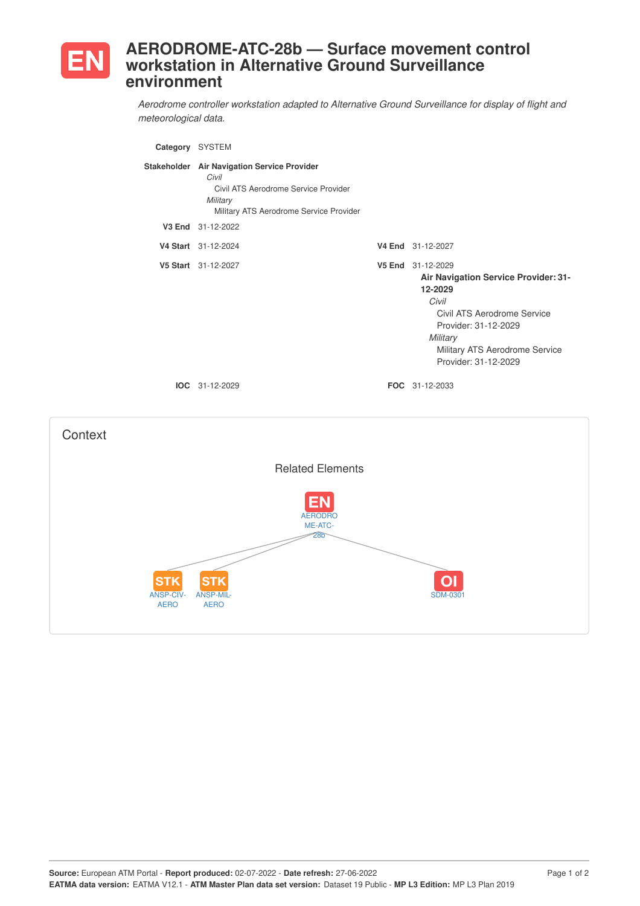

## **AERODROME-ATC-28b — Surface movement control workstation in Alternative Ground Surveillance environment**

*Aerodrome controller workstation adapted to Alternative Ground Surveillance for display of flight and meteorological data.*

| Category SYSTEM                 |                                                                                                                                                     |                                                                                                                                                                                                            |
|---------------------------------|-----------------------------------------------------------------------------------------------------------------------------------------------------|------------------------------------------------------------------------------------------------------------------------------------------------------------------------------------------------------------|
|                                 | Stakeholder Air Navigation Service Provider<br>Civil<br>Civil ATS Aerodrome Service Provider<br>Military<br>Military ATS Aerodrome Service Provider |                                                                                                                                                                                                            |
|                                 | V3 End 31-12-2022                                                                                                                                   |                                                                                                                                                                                                            |
|                                 | V4 Start 31-12-2024                                                                                                                                 | V4 End 31-12-2027                                                                                                                                                                                          |
|                                 | V5 Start 31-12-2027                                                                                                                                 | V5 End 31-12-2029<br>Air Navigation Service Provider: 31-<br>12-2029<br>Civil<br>Civil ATS Aerodrome Service<br>Provider: 31-12-2029<br>Military<br>Military ATS Aerodrome Service<br>Provider: 31-12-2029 |
|                                 | <b>IOC</b> 31-12-2029                                                                                                                               | FOC 31-12-2033                                                                                                                                                                                             |
| Context                         |                                                                                                                                                     |                                                                                                                                                                                                            |
|                                 | <b>Related Elements</b>                                                                                                                             |                                                                                                                                                                                                            |
|                                 | <b>AERODRO</b><br>ME-ATC-<br>28 <sub>b</sub>                                                                                                        |                                                                                                                                                                                                            |
| STK<br>ANSP-CIV-<br><b>AERO</b> | STK<br><b>ANSP-MIL</b><br><b>AERO</b>                                                                                                               | <b>SDM-0301</b>                                                                                                                                                                                            |